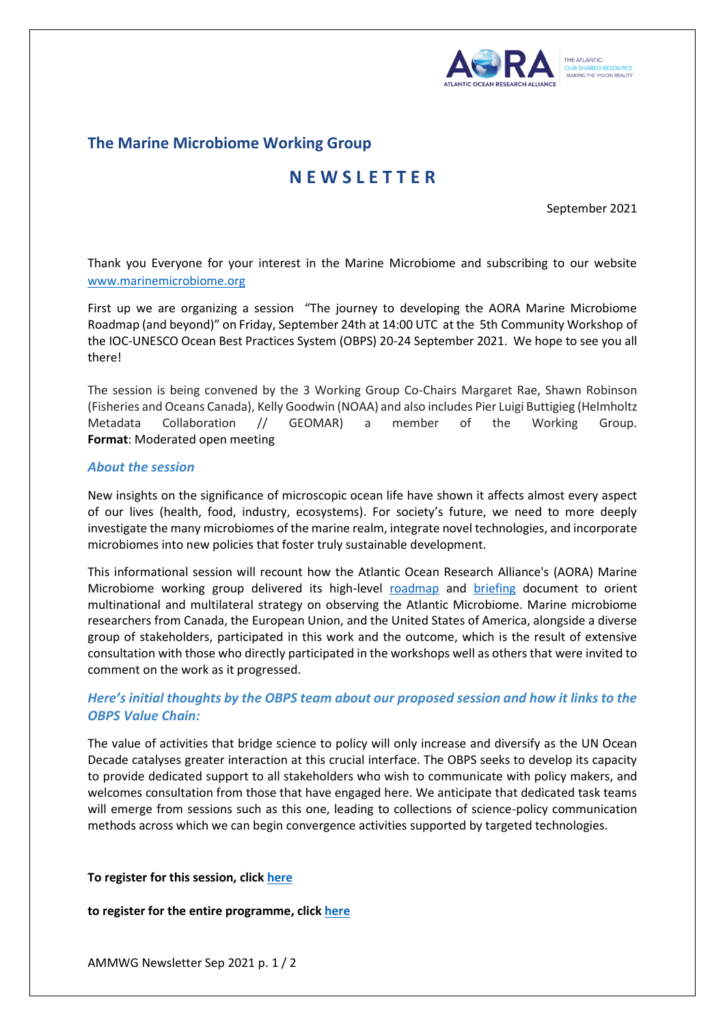

## **The Marine Microbiome Working Group**

# **N E W S L E T T E R**

September 2021

Thank you Everyone for your interest in the Marine Microbiome and subscribing to our website [www.marinemicrobiome.org](http://www.marinemicrobiome.org/)

First up we are organizing a session "The journey to developing the AORA Marine Microbiome Roadmap (and beyond)" on Friday, September 24th at 14:00 UTC at the 5th [Community Workshop](https://www.google.com/url?q=https%3A%2F%2Fwww.oceanbestpractices.org%2Fcommunity-engagement%2Fworkshops%2F&sa=D&sntz=1&usg=AFQjCNE_WUKy7pgeREHaKKVpVZomc6gstA) of the [IOC-UNESCO Ocean Best Practices System](https://www.google.com/url?q=https%3A%2F%2Fwww.oceanbestpractices.org%2F&sa=D&sntz=1&usg=AFQjCNFv-Z5xT6Od6kNkuI-_V8shmdSNmA) (OBPS) 20-24 September 2021. We hope to see you all there!

The session is being convened by the 3 Working Group Co-Chairs Margaret Rae, Shawn Robinson (Fisheries and Oceans Canada), Kelly Goodwin (NOAA) and also includes Pier Luigi Buttigieg (Helmholtz Metadata Collaboration // GEOMAR) a member of the Working Group. **Format**: Moderated open meeting

## *About the session*

New insights on the significance of microscopic ocean life have shown it affects almost every aspect of our lives (health, food, industry, ecosystems). For society's future, we need to more deeply investigate the many microbiomes of the marine realm, integrate novel technologies, and incorporate microbiomes into new policies that foster truly sustainable development.

This informational session will recount how the Atlantic Ocean Research Alliance's (AORA) Marine Microbiome working group delivered its high-level [roadmap](https://issuu.com/rannis6/docs/aora_roadmap_pages_v_2) and [briefing](https://issuu.com/rannis6/docs/aora_high-level_briefing_sep2020) document to orient multinational and multilateral strategy on observing the Atlantic Microbiome. Marine microbiome researchers from Canada, the European Union, and the United States of America, alongside a diverse group of stakeholders, participated in this work and the outcome, which is the result of extensive consultation with those who directly participated in the workshops well as others that were invited to comment on the work as it progressed.

## *Here's initial thoughts by the OBPS team about our proposed session and how it links to th[e](https://workshop5.oceanbestpractices.org/mapping-value) [OBPS Value Chain:](https://workshop5.oceanbestpractices.org/mapping-value)*

The value of activities that bridge science to policy will only increase and diversify as the UN Ocean Decade catalyses greater interaction at this crucial interface. The OBPS seeks to develop its capacity to provide dedicated support to all stakeholders who wish to communicate with policy makers, and welcomes consultation from those that have engaged here. We anticipate that dedicated task teams will emerge from sessions such as this one, leading to collections of science-policy communication methods across which we can begin convergence activities supported by targeted technologies.

### **To register for this session, clic[k here](https://www.marinemicrobiome.org/event-details/the-journey-to-developing-the-aora-marine-microbiome-roadmap)**

### **to register for the entire programme, clic[k here](https://workshop5.oceanbestpractices.org/ws5-home)**